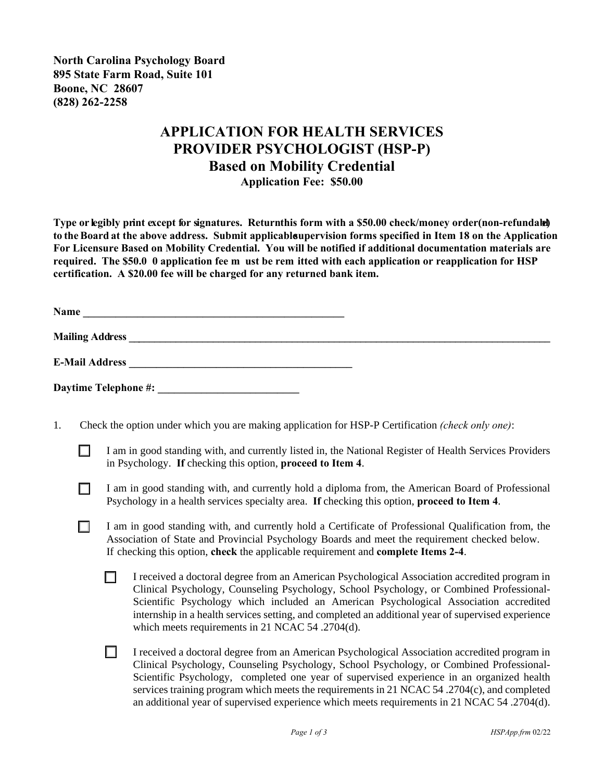**North Carolina Psychology Board 895 State Farm Road, Suite 101 Boone, NC 28607 (828) 262-2258**

## **APPLICATION FOR HEALTH SERVICES PROVIDER PSYCHOLOGIST (HSP-P) Based on Mobility Credential Application Fee: \$50.00**

**Type or legibly print except for signatures. Returnthis form with a \$50.00 check/money order(non-refundale) to the Board at the above address. Submit applicable supervision forms specified in Item 18 on the Application For Licensure Based on Mobility Credential. You will be notified if additional documentation materials are required. The \$50.0 0 application fee m ust be rem itted with each application or reapplication for HSP certification. A \$20.00 fee will be charged for any returned bank item.**

**Name \_\_\_\_\_\_\_\_\_\_\_\_\_\_\_\_\_\_\_\_\_\_\_\_\_\_\_\_\_\_\_\_\_\_\_\_\_\_\_\_\_\_\_\_\_\_\_\_**

**Mailing Address \_\_\_\_\_\_\_\_\_\_\_\_\_\_\_\_\_\_\_\_\_\_\_\_\_\_\_\_\_\_\_\_\_\_\_\_\_\_\_\_\_\_\_\_\_\_\_\_\_\_\_\_\_\_\_\_\_\_\_\_\_\_\_\_\_\_\_\_\_\_\_\_\_\_\_\_\_\_\_\_**

**E-Mail Address \_\_\_\_\_\_\_\_\_\_\_\_\_\_\_\_\_\_\_\_\_\_\_\_\_\_\_\_\_\_\_\_\_\_\_\_\_\_\_\_\_**

**Daytime Telephone #: \_\_\_\_\_\_\_\_\_\_\_\_\_\_\_\_\_\_\_\_\_\_\_\_\_\_** 

- 1. Check the option under which you are making application for HSP-P Certification *(check only one)*:
	- I am in good standing with, and currently listed in, the National Register of Health Services Providers in Psychology. **If** checking this option, **proceed to Item 4**.
	- I am in good standing with, and currently hold a diploma from, the American Board of Professional Psychology in a health services specialty area. **If** checking this option, **proceed to Item 4**.
	- I am in good standing with, and currently hold a Certificate of Professional Qualification from, the Association of State and Provincial Psychology Boards and meet the requirement checked below. If checking this option, **check** the applicable requirement and **complete Items 2-4**.
		- $\Box$  I received a doctoral degree from an American Psychological Association accredited program in Clinical Psychology, Counseling Psychology, School Psychology, or Combined Professional-Scientific Psychology which included an American Psychological Association accredited internship in a health services setting, and completed an additional year of supervised experience which meets requirements in 21 NCAC 54 .2704(d).
		- G I received a doctoral degree from an American Psychological Association accredited program in Clinical Psychology, Counseling Psychology, School Psychology, or Combined Professional-Scientific Psychology, completed one year of supervised experience in an organized health services training program which meets the requirements in 21 NCAC 54.2704(c), and completed an additional year of supervised experience which meets requirements in 21 NCAC 54 .2704(d).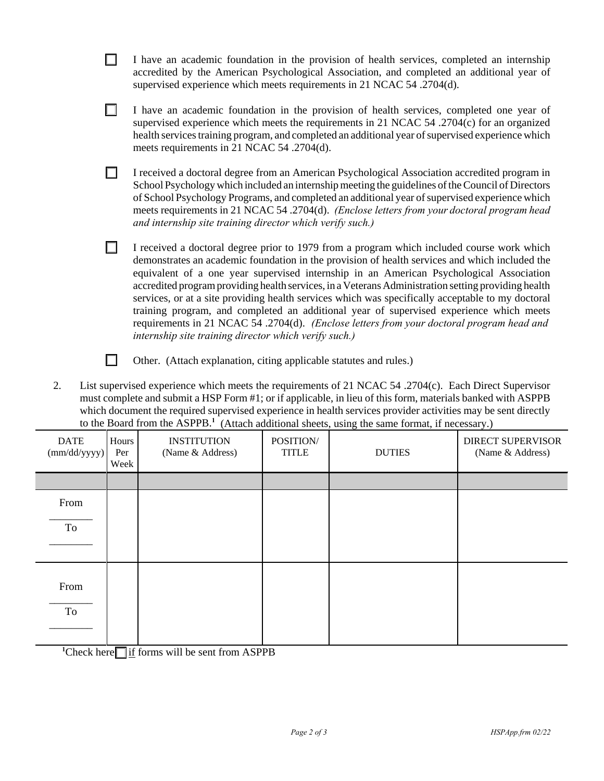|                                                                                                        | I have an academic foundation in the provision of health services, completed an internship<br>accredited by the American Psychological Association, and completed an additional year of<br>supervised experience which meets requirements in 21 NCAC 54 .2704(d).                                                                                                                                                                                                                                                                                                                                                                                                                                                                                    |  |  |  |  |
|--------------------------------------------------------------------------------------------------------|------------------------------------------------------------------------------------------------------------------------------------------------------------------------------------------------------------------------------------------------------------------------------------------------------------------------------------------------------------------------------------------------------------------------------------------------------------------------------------------------------------------------------------------------------------------------------------------------------------------------------------------------------------------------------------------------------------------------------------------------------|--|--|--|--|
|                                                                                                        | I have an academic foundation in the provision of health services, completed one year of<br>supervised experience which meets the requirements in 21 NCAC $54$ .2704(c) for an organized<br>health services training program, and completed an additional year of supervised experience which<br>meets requirements in 21 NCAC 54 .2704(d).                                                                                                                                                                                                                                                                                                                                                                                                          |  |  |  |  |
|                                                                                                        | I received a doctoral degree from an American Psychological Association accredited program in<br>School Psychology which included an internship meeting the guidelines of the Council of Directors<br>of School Psychology Programs, and completed an additional year of supervised experience which<br>meets requirements in 21 NCAC 54 .2704(d). (Enclose letters from your doctoral program head<br>and internship site training director which verify such.)                                                                                                                                                                                                                                                                                     |  |  |  |  |
|                                                                                                        | I received a doctoral degree prior to 1979 from a program which included course work which<br>demonstrates an academic foundation in the provision of health services and which included the<br>equivalent of a one year supervised internship in an American Psychological Association<br>accredited program providing health services, in a Veterans Administration setting providing health<br>services, or at a site providing health services which was specifically acceptable to my doctoral<br>training program, and completed an additional year of supervised experience which meets<br>requirements in 21 NCAC 54 .2704(d). (Enclose letters from your doctoral program head and<br>internship site training director which verify such.) |  |  |  |  |
|                                                                                                        | Other. (Attach explanation, citing applicable statutes and rules.)                                                                                                                                                                                                                                                                                                                                                                                                                                                                                                                                                                                                                                                                                   |  |  |  |  |
| List supervised experience which meets the requirements of 21 NCAC 54 .2704(c). Each Direct Supervisor |                                                                                                                                                                                                                                                                                                                                                                                                                                                                                                                                                                                                                                                                                                                                                      |  |  |  |  |

2. List supervised experience which meets the requirements of 21 NCAC 54 .2704(c). Each Direct Supervisor must complete and submit a HSP Form #1; or if applicable, in lieu of this form, materials banked with ASPPB which document the required supervised experience in health services provider activities may be sent directly to the Board from the ASPPB.**<sup>1</sup>** (Attach additional sheets, using the same format, if necessary.)

| <b>DATE</b><br>(mm/dd/yyyy) | Hours<br>Per<br>Week | <b>INSTITUTION</b><br>(Name & Address) | POSITION/<br><b>TITLE</b> | <b>DUTIES</b> | <b>DIRECT SUPERVISOR</b><br>(Name & Address) |
|-----------------------------|----------------------|----------------------------------------|---------------------------|---------------|----------------------------------------------|
|                             |                      |                                        |                           |               |                                              |
| From                        |                      |                                        |                           |               |                                              |
| To                          |                      |                                        |                           |               |                                              |
| From<br>To                  |                      |                                        |                           |               |                                              |

 $\text{1}$ Check here  $\text{1}$  if forms will be sent from ASPPB